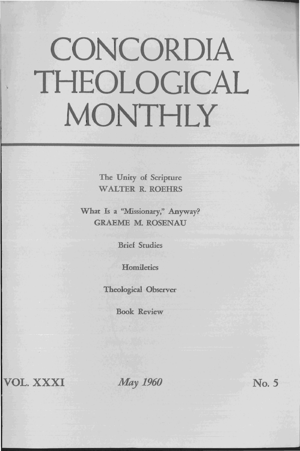## CONCORDIA THEOLOGICAL MONTHLY

The Unity of Scripture WALTER R. ROEHRS

What Is a "Missionary," Anyway? **GRAEME M. ROSENAU** 

Brief Studies

**Homiletics** 

Theological Observer

Book Review

VOL. XXXI

*May 1960* 

No. 5

.....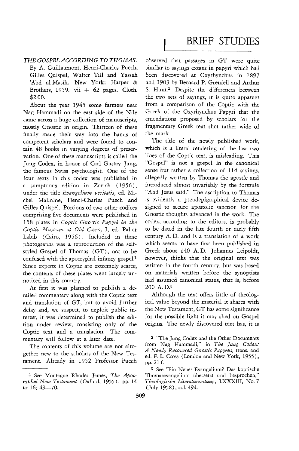## BRIEF STUDIES

## *THE GOSPEL ACCORDING TO THOMAS.*  By A. Guillaumont, Henri-Charles Puech, Gilles Quispel, Walter Till and Yassah 'Abd al-Masih. New York: Harper & Brothers, 1959. vii  $+$  62 pages. Cloth. \$2.00.

About the year 1945 some farmers near Nag Hammadi on the east side of the Nile came across a huge collection of manuscripts, mostly Gnostic in origin. Thirteen of these finally made their way into the hands of competent scholars and were found to contain 48 books in varying degrees of preservation. One of these manuscripts is called the Jung Codex, in honor of Carl Gustav Jung, the famous Swiss psychologist. One of the four texts in this codex was published in a sumptuous edition in Zurich (1956), under the title *Evangelium veritatis,* ed. Michel Malinine, Henri-Charles Puech and Gilles Quispel. Portions of two other codices comprising five documents were published in 158 plates in *Coptic Gnostic Papyri in the*  Coptic Museum at Old Cairo, I, ed. Pahor Labib (Cairo, 1956). Included in these photographs was a reproduction of the selfstyled Gospel of Thomas (GT), not to be confused with the apocryphal infancy gospel.1 Since experts in Coptic are extremely scarce, the contents of these plates went largely unnoticed in this country.

At first it was planned to publish a detailed commentary along with the Coptic text and translation of GT, but to avoid further delay and, we suspect, to exploit public interest, it was determined to publish the edition under review, consisting only of the Coptic text and a translation. The commentary will follow at a later date.

The contents of this volume are not altogether new to the scholars of the New Testament. Already in 1952 Professor Puech

observed that passages in GT were quite similar to sayings extant in papyri which had been discovered at Oxyrhynchus in 1897 and 1903 by Bernard P. Grenfell and Arthur S. Hunt.<sup>2</sup> Despite the differences between the two sets of sayings, it is quite apparent from a comparison of the Coptic with the Greek of the Oxyrhynchus Papyri that the emendations proposed by scholars for the fragmentary Greek text shot rather wide of the mark.

The title of the newly published work, which is a literal rendering of the last two lines of the Coptic text, is misleading. This "Gospel" is not a gospel in the canonical sense but rather a collection of 114 sayings, allegedly written by Thomas the apostle and introduced almost invariably by the formula "And Jesus said." The ascription to Thomas is evidently a pseudepigraphical device designed to secure apostolic sanction for the Gnostic thoughts advanced in the work. The codex, according to the editors, is probably to be dated in the late fourth or early fifth century A. D. and is a translation of a work which seems to have first been published in Greek about 140 A. D. Johannes Leipoldt, however, thinks that the original text was written in the fourth century, but was based on materials written before the synoptists had assumed canonical status, that is, before 200 A.D.3

Although the text offers little of theological value beyond the material it shares with the New Testament, GT has some significance for the possible light it may shed on Gospel origins. The newly discovered text has, it is

<sup>1</sup> See Montague Rhodes James, *The Apocryphal New Testament* (Oxford, 1955), pp. 14 to  $16; 49 - 70.$ 

<sup>2 &</sup>quot;The Jung Codex and the Other Documents from Nag Hammadi," in *The lung Codex: A Newly Recovered Gnostic Papyrus,* trans. and ed. F. L. Cross (London and New York, 1955), pp. 21 f.

<sup>3</sup> See "Ein Neues Evangelium? Das koptische Thomasevangelium iibersetzt und besprochen," *Theologische Literaturzeitung,* LXXXIII, No.7 (July 1958), col. 494.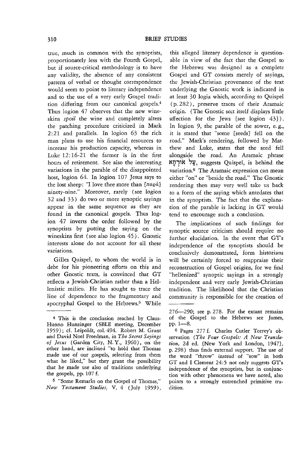true, much in common with the synoptists, proportionately less with the Fourth Gospel, but if source-critical methodology is to have any validity, the absence of any consistent pattern of verbal or thought correspondence would seem to point to literary independence and to the use of a very early Gospel tradition differing from our canonical gospels.4 Thus logion 47 observes that the new wineskins *spoil* the wine and completely alters the patching procedure criticized in Mark 2: 21 and parallels. In logion 63 the rich man plans to use his financial resources to increase his production capacity, whereas in Luke 12:16-21 the farmer is in the first hours of retirement. See also the interesting variations in the parable of the disappointed host, logion 64. In logion 107 Jesus says to the lost sheep: "I love thee more than  $[\pi \alpha \varrho \dot{\alpha}]$ ninety-nine." Moreover, rarely (see logion 32 and 33) do two or more synoptic sayings appear in the same sequence as they are found in the canonical gospels. Thus logion 47 inverts the order followed by the synoptists by putting the saying on the wineskins first (see also logion 45). Gnostic interests alone do not account for all these variations.

Gilles Quispel, to whom the world is in debt for his pioneering efforts on this and other Gnostic texts, is convinced that GT reflects a Jewish-Christian rather than a Hellenistic milieu. He has sought to trace the line of dependence to the fragmentary and apocryphal Gospel to the Hebrews.5 While

5 "Some Remarks on the Gospel of Thomas," *New Testament Studies,* V, 4 (July 1959),

this alleged literary dependence is questionable in view of the fact that the Gospel to the Hebrews was designed as a complete Gospel and GT consists merely of sayings, the Jewish-Christian provenance of the text underlying the Gnostic work is indicated in at least 30 logia which, according to Quispel (p. 282), preserve traces of their Aramaic origin. (The Gnostic sect itself displays little affection for the Jews [see logion 43}). In logion 9, the parable of the sower, e. g., it is stated that "some [seeds] fell on the road." Mark's rendering, followed by Matthew and Luke, states that the seed fell alongside the road. An Aramaic phrase צֵל אוּרְחָא , suggests Quispel, is behind the variation.<sup>6</sup> The Aramaic expression can mean either "on" or "beside the road." The Gnostic rendering then may very well take us back to a form of the saying which antedates that in the synoptists. The fact that the explanation of the parable is lacking in GT would tend to encourage such a conclusion.

The implications of such findings for synoptic source criticism should require no further elucidation. In the event that GT's independence of the synoptists should be conclusively demonstrated, form historians will be certainly forced to reappraise their reconstruction of Gospel origins, for we find "hellenized" synoptic sayings in a strongly independent and very early Jewish-Christian tradition. The likelihood that the Christian community is responsible for the creation of

<sup>4</sup> This is the condusion reached by Claus-Hunno Hunzinger (SBLE meeting, December 1959); d. Leipoldt, col. 494. Robert M. Grant and David Noel Freedman, in *The Secret Sayings*  of *Jesus* (Garden City, N.Y., 1960), on the other hand, are inclined "to hold that Thomas made use of our gospels, selecting from them what he liked," but they grant the possibility that he made use also of traditions underlying the gospels, pp. 107 f.

 $276 - 290$ ; see p. 278. For the extant remains of the Gospel to the Hebrews see James, pp. 1-8.

<sup>6</sup> Pages 277 f. Charles Cutler Torrey's ob· servation *(The Four Gospels: A New Translation,* 2d ed. {New York and London, 1947}, p. 298) thus finds external support. The use of the word "throw" instead of "sow" in both GT and I Clement 24:5 not only suggests GT's independence of the synoptists, but in conjunction with other phenomena we have noted, also points to a strongly entrenched primitive tradition.